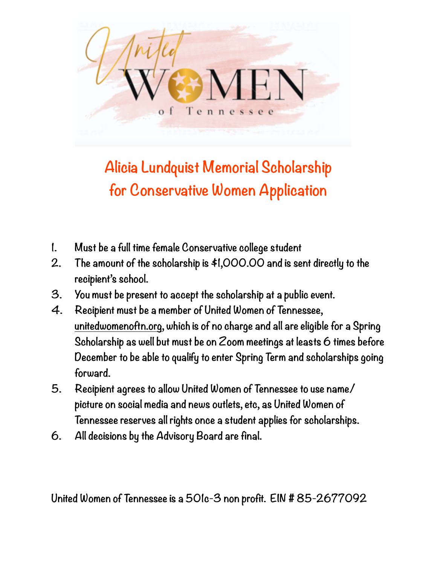

## **Alicia Lundquist Memorial Scholarship for Conservative Women Application**

- **1. Must be a full time female Conservative college student**
- **2. The amount of the scholarship is \$1,000.00 and is sent directly to the recipient's school.**
- **3. You must be present to accept the scholarship at a public event.**
- **4. Recipient must be a member of United Women of Tennessee, [unitedwomenoftn.org](http://unitedwomenoftn.org), which is of no charge and all are eligible for a Spring Scholarship as well but must be on Zoom meetings at leasts 6 times before December to be able to qualify to enter Spring Term and scholarships going forward.**
- **5. Recipient agrees to allow United Women of Tennessee to use name/ picture on social media and news outlets, etc, as United Women of Tennessee reserves all rights once a student applies for scholarships.**
- **6. All decisions by the Advisory Board are final.**

**United Women of Tennessee is a 501c-3 non profit. EIN # 85-2677092**